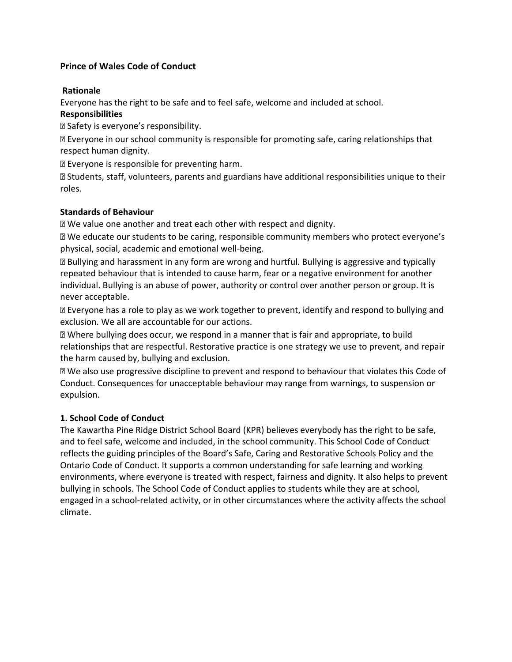# **Prince of Wales Code of Conduct**

#### **Rationale**

Everyone has the right to be safe and to feel safe, welcome and included at school.

#### **Responsibilities**

Safety is everyone's responsibility.

 $\mathbb B$  Everyone in our school community is responsible for promoting safe, caring relationships that respect human dignity.

Everyone is responsible for preventing harm.

 Students, staff, volunteers, parents and guardians have additional responsibilities unique to their roles.

### **Standards of Behaviour**

**Ne value one another and treat each other with respect and dignity.** 

 We educate our students to be caring, responsible community members who protect everyone's physical, social, academic and emotional well‐being.

 Bullying and harassment in any form are wrong and hurtful. Bullying is aggressive and typically repeated behaviour that is intended to cause harm, fear or a negative environment for another individual. Bullying is an abuse of power, authority or control over another person or group. It is never acceptable.

**If Everyone has a role to play as we work together to prevent, identify and respond to bullying and** exclusion. We all are accountable for our actions.

 Where bullying does occur, we respond in a manner that is fair and appropriate, to build relationships that are respectful. Restorative practice is one strategy we use to prevent, and repair the harm caused by, bullying and exclusion.

 We also use progressive discipline to prevent and respond to behaviour that violates this Code of Conduct. Consequences for unacceptable behaviour may range from warnings, to suspension or expulsion.

### **1. School Code of Conduct**

The Kawartha Pine Ridge District School Board (KPR) believes everybody has the right to be safe, and to feel safe, welcome and included, in the school community. This School Code of Conduct reflects the guiding principles of the Board's Safe, Caring and Restorative Schools Policy and the Ontario Code of Conduct. It supports a common understanding for safe learning and working environments, where everyone is treated with respect, fairness and dignity. It also helps to prevent bullying in schools. The School Code of Conduct applies to students while they are at school, engaged in a school-related activity, or in other circumstances where the activity affects the school climate.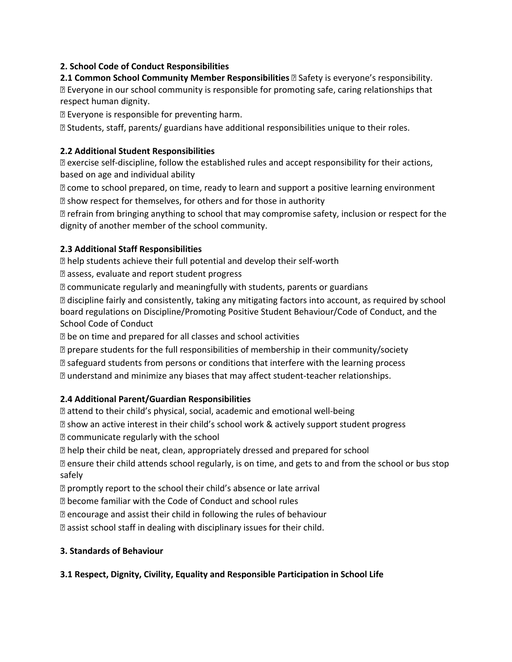# **2. School Code of Conduct Responsibilities**

**2.1 Common School Community Member Responsibilities** *E* Safety is everyone's responsibility. Everyone in our school community is responsible for promoting safe, caring relationships that respect human dignity.

Everyone is responsible for preventing harm.

Students, staff, parents/ guardians have additional responsibilities unique to their roles.

## **2.2 Additional Student Responsibilities**

**sqrtmogenal exercise self-discipline, follow the established rules and accept responsibility for their actions,** based on age and individual ability

 $\mathbb B$  come to school prepared, on time, ready to learn and support a positive learning environment

 $\mathbb B$  show respect for themselves, for others and for those in authority

 refrain from bringing anything to school that may compromise safety, inclusion or respect for the dignity of another member of the school community.

## **2.3 Additional Staff Responsibilities**

**<b>n** help students achieve their full potential and develop their self-worth

assess, evaluate and report student progress

**Z** communicate regularly and meaningfully with students, parents or guardians

 discipline fairly and consistently, taking any mitigating factors into account, as required by school board regulations on Discipline/Promoting Positive Student Behaviour/Code of Conduct, and the School Code of Conduct

be on time and prepared for all classes and school activities

prepare students for the full responsibilities of membership in their community/society

**If** safeguard students from persons or conditions that interfere with the learning process

understand and minimize any biases that may affect student‐teacher relationships.

# **2.4 Additional Parent/Guardian Responsibilities**

attend to their child's physical, social, academic and emotional well‐being

 show an active interest in their child's school work & actively support student progress **Z** communicate regularly with the school

help their child be neat, clean, appropriately dressed and prepared for school

 ensure their child attends school regularly, is on time, and gets to and from the school or bus stop safely

**D** promptly report to the school their child's absence or late arrival

become familiar with the Code of Conduct and school rules

**E** encourage and assist their child in following the rules of behaviour

**Z** assist school staff in dealing with disciplinary issues for their child.

### **3. Standards of Behaviour**

# **3.1 Respect, Dignity, Civility, Equality and Responsible Participation in School Life**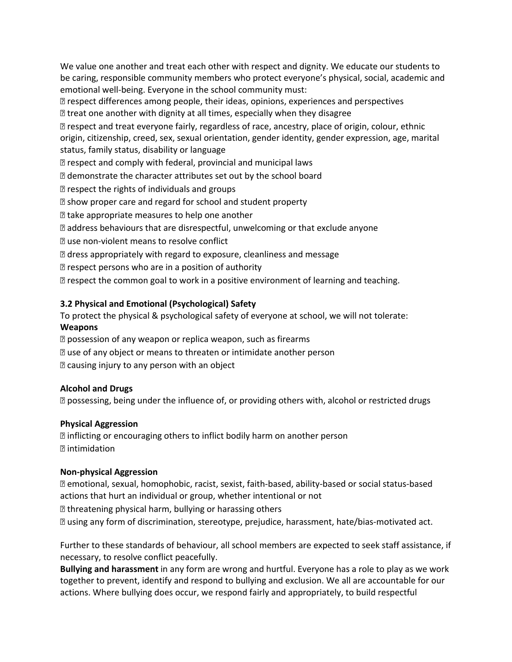We value one another and treat each other with respect and dignity. We educate our students to be caring, responsible community members who protect everyone's physical, social, academic and emotional well-being. Everyone in the school community must:

 $\mathbb B$  respect differences among people, their ideas, opinions, experiences and perspectives **If** treat one another with dignity at all times, especially when they disagree

 respect and treat everyone fairly, regardless of race, ancestry, place of origin, colour, ethnic origin, citizenship, creed, sex, sexual orientation, gender identity, gender expression, age, marital status, family status, disability or language

**E** respect and comply with federal, provincial and municipal laws

demonstrate the character attributes set out by the school board

**P** respect the rights of individuals and groups

**E** show proper care and regard for school and student property

**If** take appropriate measures to help one another

address behaviours that are disrespectful, unwelcoming or that exclude anyone

**<b>***<u></u>* ause non-violent means to resolve conflict

dress appropriately with regard to exposure, cleanliness and message

 $\mathbb Z$  respect persons who are in a position of authority

**D** respect the common goal to work in a positive environment of learning and teaching.

## **3.2 Physical and Emotional (Psychological) Safety**

To protect the physical & psychological safety of everyone at school, we will not tolerate: **Weapons** 

**D** possession of any weapon or replica weapon, such as firearms

use of any object or means to threaten or intimidate another person

causing injury to any person with an object

### **Alcohol and Drugs**

possessing, being under the influence of, or providing others with, alcohol or restricted drugs

### **Physical Aggression**

**I** inflicting or encouraging others to inflict bodily harm on another person intimidation

### **Non‐physical Aggression**

 emotional, sexual, homophobic, racist, sexist, faith‐based, ability‐based or social status‐based actions that hurt an individual or group, whether intentional or not

**If** threatening physical harm, bullying or harassing others

using any form of discrimination, stereotype, prejudice, harassment, hate/bias‐motivated act.

Further to these standards of behaviour, all school members are expected to seek staff assistance, if necessary, to resolve conflict peacefully.

**Bullying and harassment** in any form are wrong and hurtful. Everyone has a role to play as we work together to prevent, identify and respond to bullying and exclusion. We all are accountable for our actions. Where bullying does occur, we respond fairly and appropriately, to build respectful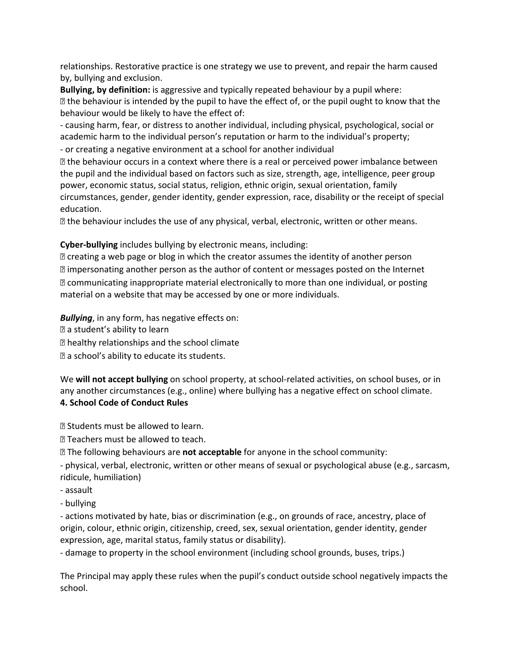relationships. Restorative practice is one strategy we use to prevent, and repair the harm caused by, bullying and exclusion.

**Bullying, by definition:** is aggressive and typically repeated behaviour by a pupil where:  $\mathbb B$  the behaviour is intended by the pupil to have the effect of, or the pupil ought to know that the behaviour would be likely to have the effect of:

‐ causing harm, fear, or distress to another individual, including physical, psychological, social or academic harm to the individual person's reputation or harm to the individual's property; ‐ or creating a negative environment at a school for another individual

 the behaviour occurs in a context where there is a real or perceived power imbalance between the pupil and the individual based on factors such as size, strength, age, intelligence, peer group power, economic status, social status, religion, ethnic origin, sexual orientation, family circumstances, gender, gender identity, gender expression, race, disability or the receipt of special education.

the behaviour includes the use of any physical, verbal, electronic, written or other means.

## **Cyber‐bullying** includes bullying by electronic means, including:

**Z** creating a web page or blog in which the creator assumes the identity of another person impersonating another person as the author of content or messages posted on the Internet communicating inappropriate material electronically to more than one individual, or posting material on a website that may be accessed by one or more individuals.

*Bullying*, in any form, has negative effects on:

a student's ability to learn

healthy relationships and the school climate

a school's ability to educate its students.

We **will not accept bullying** on school property, at school-related activities, on school buses, or in any another circumstances (e.g., online) where bullying has a negative effect on school climate. **4. School Code of Conduct Rules** 

**D** Students must be allowed to learn.

**Teachers must be allowed to teach.** 

The following behaviours are **not acceptable** for anyone in the school community:

‐ physical, verbal, electronic, written or other means of sexual or psychological abuse (e.g., sarcasm, ridicule, humiliation)

‐ assault

‐ bullying

‐ actions motivated by hate, bias or discrimination (e.g., on grounds of race, ancestry, place of origin, colour, ethnic origin, citizenship, creed, sex, sexual orientation, gender identity, gender expression, age, marital status, family status or disability).

‐ damage to property in the school environment (including school grounds, buses, trips.)

The Principal may apply these rules when the pupil's conduct outside school negatively impacts the school.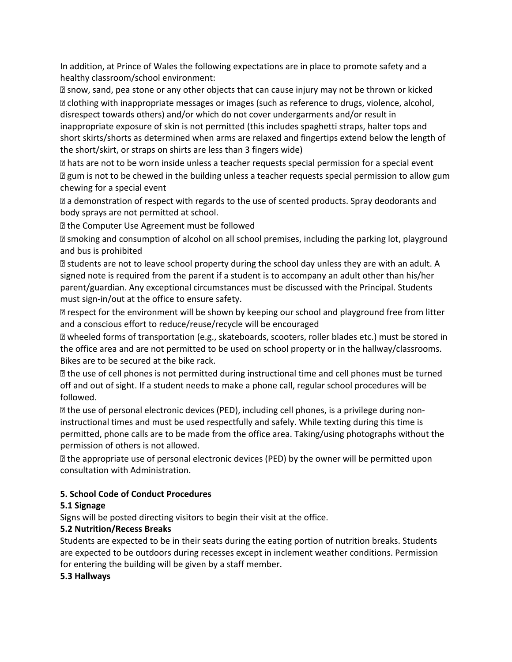In addition, at Prince of Wales the following expectations are in place to promote safety and a healthy classroom/school environment:

 snow, sand, pea stone or any other objects that can cause injury may not be thrown or kicked clothing with inappropriate messages or images (such as reference to drugs, violence, alcohol, disrespect towards others) and/or which do not cover undergarments and/or result in inappropriate exposure of skin is not permitted (this includes spaghetti straps, halter tops and short skirts/shorts as determined when arms are relaxed and fingertips extend below the length of the short/skirt, or straps on shirts are less than 3 fingers wide)

 hats are not to be worn inside unless a teacher requests special permission for a special event gum is not to be chewed in the building unless a teacher requests special permission to allow gum chewing for a special event

 a demonstration of respect with regards to the use of scented products. Spray deodorants and body sprays are not permitted at school.

**If** the Computer Use Agreement must be followed

**E** smoking and consumption of alcohol on all school premises, including the parking lot, playground and bus is prohibited

**If is all alter that the leave school property during the school day unless they are with an adult. A** signed note is required from the parent if a student is to accompany an adult other than his/her parent/guardian. Any exceptional circumstances must be discussed with the Principal. Students must sign-in/out at the office to ensure safety.

**If** respect for the environment will be shown by keeping our school and playground free from litter and a conscious effort to reduce/reuse/recycle will be encouraged

 wheeled forms of transportation (e.g., skateboards, scooters, roller blades etc.) must be stored in the office area and are not permitted to be used on school property or in the hallway/classrooms. Bikes are to be secured at the bike rack.

**If the use of cell phones is not permitted during instructional time and cell phones must be turned** off and out of sight. If a student needs to make a phone call, regular school procedures will be followed.

**sqrtmarge 15 and 10** alteration of the U. including cell phones, is a privilege during noninstructional times and must be used respectfully and safely. While texting during this time is permitted, phone calls are to be made from the office area. Taking/using photographs without the permission of others is not allowed.

 the appropriate use of personal electronic devices (PED) by the owner will be permitted upon consultation with Administration.

# **5. School Code of Conduct Procedures**

# **5.1 Signage**

Signs will be posted directing visitors to begin their visit at the office.

# **5.2 Nutrition/Recess Breaks**

Students are expected to be in their seats during the eating portion of nutrition breaks. Students are expected to be outdoors during recesses except in inclement weather conditions. Permission for entering the building will be given by a staff member.

**5.3 Hallways**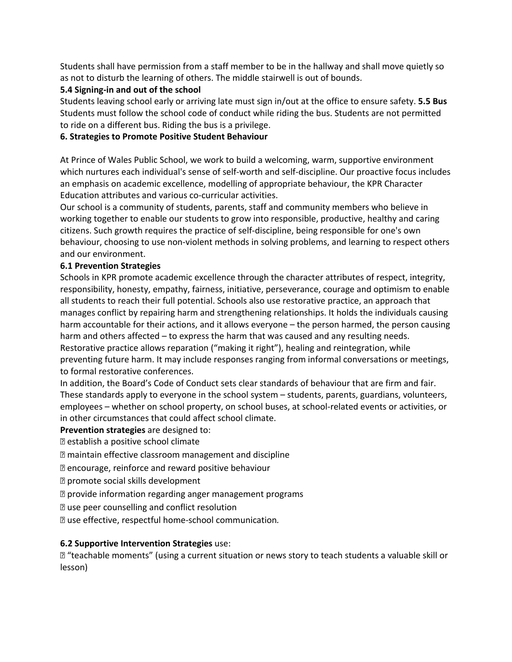Students shall have permission from a staff member to be in the hallway and shall move quietly so as not to disturb the learning of others. The middle stairwell is out of bounds.

## **5.4 Signing‐in and out of the school**

Students leaving school early or arriving late must sign in/out at the office to ensure safety. **5.5 Bus**  Students must follow the school code of conduct while riding the bus. Students are not permitted to ride on a different bus. Riding the bus is a privilege.

## **6. Strategies to Promote Positive Student Behaviour**

At Prince of Wales Public School, we work to build a welcoming, warm, supportive environment which nurtures each individual's sense of self‐worth and self‐discipline. Our proactive focus includes an emphasis on academic excellence, modelling of appropriate behaviour, the KPR Character Education attributes and various co‐curricular activities.

Our school is a community of students, parents, staff and community members who believe in working together to enable our students to grow into responsible, productive, healthy and caring citizens. Such growth requires the practice of self‐discipline, being responsible for one's own behaviour, choosing to use non-violent methods in solving problems, and learning to respect others and our environment.

## **6.1 Prevention Strategies**

Schools in KPR promote academic excellence through the character attributes of respect, integrity, responsibility, honesty, empathy, fairness, initiative, perseverance, courage and optimism to enable all students to reach their full potential. Schools also use restorative practice, an approach that manages conflict by repairing harm and strengthening relationships. It holds the individuals causing harm accountable for their actions, and it allows everyone – the person harmed, the person causing harm and others affected – to express the harm that was caused and any resulting needs. Restorative practice allows reparation ("making it right"), healing and reintegration, while preventing future harm. It may include responses ranging from informal conversations or meetings, to formal restorative conferences.

In addition, the Board's Code of Conduct sets clear standards of behaviour that are firm and fair. These standards apply to everyone in the school system – students, parents, guardians, volunteers, employees – whether on school property, on school buses, at school-related events or activities, or in other circumstances that could affect school climate.

### **Prevention strategies** are designed to:

establish a positive school climate

- maintain effective classroom management and discipline
- encourage, reinforce and reward positive behaviour
- promote social skills development
- **D** provide information regarding anger management programs
- use peer counselling and conflict resolution
- use effective, respectful home‐school communication*.*

### **6.2 Supportive Intervention Strategies** use:

 "teachable moments" (using a current situation or news story to teach students a valuable skill or lesson)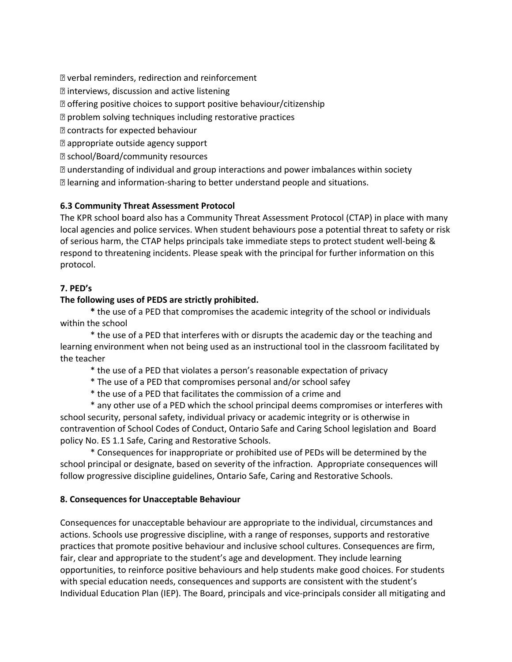verbal reminders, redirection and reinforcement

**D** interviews, discussion and active listening

**D** offering positive choices to support positive behaviour/citizenship

problem solving techniques including restorative practices

contracts for expected behaviour

appropriate outside agency support

school/Board/community resources

 understanding of individual and group interactions and power imbalances within society learning and information‐sharing to better understand people and situations.

# **6.3 Community Threat Assessment Protocol**

The KPR school board also has a Community Threat Assessment Protocol (CTAP) in place with many local agencies and police services. When student behaviours pose a potential threat to safety or risk of serious harm, the CTAP helps principals take immediate steps to protect student well‐being & respond to threatening incidents. Please speak with the principal for further information on this protocol.

## **7. PED's**

## **The following uses of PEDS are strictly prohibited.**

 **\*** the use of a PED that compromises the academic integrity of the school or individuals within the school

 \* the use of a PED that interferes with or disrupts the academic day or the teaching and learning environment when not being used as an instructional tool in the classroom facilitated by the teacher

\* the use of a PED that violates a person's reasonable expectation of privacy

\* The use of a PED that compromises personal and/or school safey

\* the use of a PED that facilitates the commission of a crime and

 \* any other use of a PED which the school principal deems compromises or interferes with school security, personal safety, individual privacy or academic integrity or is otherwise in contravention of School Codes of Conduct, Ontario Safe and Caring School legislation and Board policy No. ES 1.1 Safe, Caring and Restorative Schools.

 \* Consequences for inappropriate or prohibited use of PEDs will be determined by the school principal or designate, based on severity of the infraction. Appropriate consequences will follow progressive discipline guidelines, Ontario Safe, Caring and Restorative Schools.

### **8. Consequences for Unacceptable Behaviour**

Consequences for unacceptable behaviour are appropriate to the individual, circumstances and actions. Schools use progressive discipline, with a range of responses, supports and restorative practices that promote positive behaviour and inclusive school cultures. Consequences are firm, fair, clear and appropriate to the student's age and development. They include learning opportunities, to reinforce positive behaviours and help students make good choices. For students with special education needs, consequences and supports are consistent with the student's Individual Education Plan (IEP). The Board, principals and vice‐principals consider all mitigating and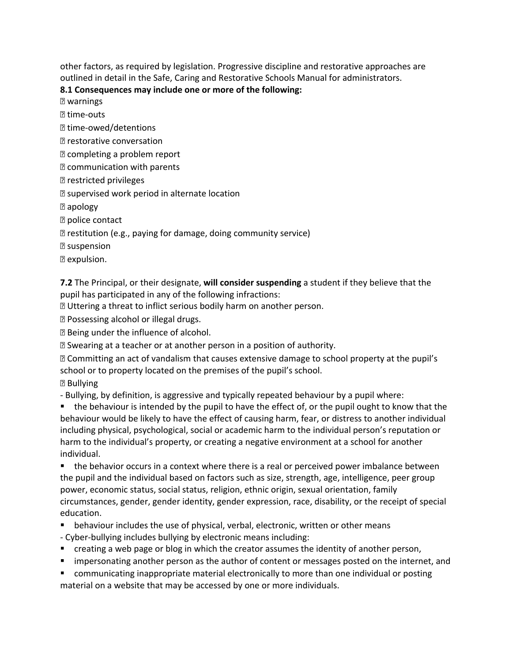other factors, as required by legislation. Progressive discipline and restorative approaches are outlined in detail in the Safe, Caring and Restorative Schools Manual for administrators.

# **8.1 Consequences may include one or more of the following:**

warnings

**2 time-outs** 

time‐owed/detentions

- **P** restorative conversation
- completing a problem report
- **P** communication with parents
- restricted privileges
- **E** supervised work period in alternate location

apology

**P** police contact

restitution (e.g., paying for damage, doing community service)

suspension

**P** expulsion.

**7.2** The Principal, or their designate, **will consider suspending** a student if they believe that the pupil has participated in any of the following infractions:

Uttering a threat to inflict serious bodily harm on another person.

Possessing alcohol or illegal drugs.

Being under the influence of alcohol.

Swearing at a teacher or at another person in a position of authority.

 Committing an act of vandalism that causes extensive damage to school property at the pupil's school or to property located on the premises of the pupil's school.

**Bullving** 

‐ Bullying, by definition, is aggressive and typically repeated behaviour by a pupil where:

• the behaviour is intended by the pupil to have the effect of, or the pupil ought to know that the behaviour would be likely to have the effect of causing harm, fear, or distress to another individual including physical, psychological, social or academic harm to the individual person's reputation or harm to the individual's property, or creating a negative environment at a school for another individual.

• the behavior occurs in a context where there is a real or perceived power imbalance between the pupil and the individual based on factors such as size, strength, age, intelligence, peer group power, economic status, social status, religion, ethnic origin, sexual orientation, family circumstances, gender, gender identity, gender expression, race, disability, or the receipt of special education.

- **•** behaviour includes the use of physical, verbal, electronic, written or other means
- ‐ Cyber‐bullying includes bullying by electronic means including:
- **E** creating a web page or blog in which the creator assumes the identity of another person,
- **EX Impersonating another person as the author of content or messages posted on the internet, and**
- communicating inappropriate material electronically to more than one individual or posting material on a website that may be accessed by one or more individuals.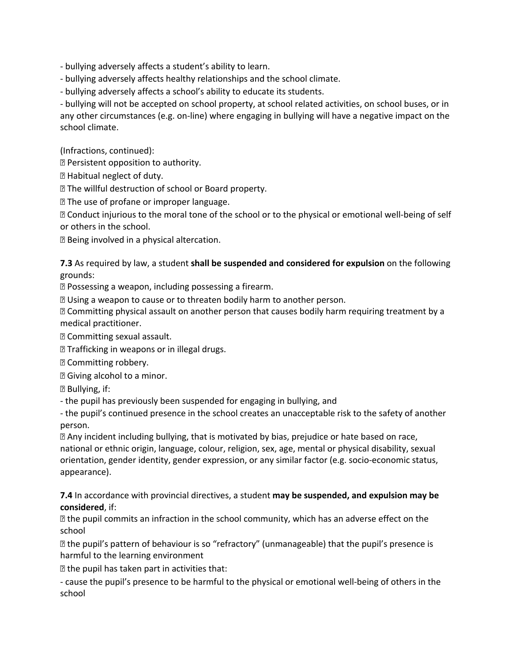‐ bullying adversely affects a student's ability to learn.

‐ bullying adversely affects healthy relationships and the school climate.

‐ bullying adversely affects a school's ability to educate its students.

‐ bullying will not be accepted on school property, at school related activities, on school buses, or in any other circumstances (e.g. on‐line) where engaging in bullying will have a negative impact on the school climate.

(Infractions, continued):

Persistent opposition to authority.

Habitual neglect of duty.

The willful destruction of school or Board property.

The use of profane or improper language.

 Conduct injurious to the moral tone of the school or to the physical or emotional well‐being of self or others in the school.

Being involved in a physical altercation.

**7.3** As required by law, a student **shall be suspended and considered for expulsion** on the following grounds:

Possessing a weapon, including possessing a firearm.

Using a weapon to cause or to threaten bodily harm to another person.

 Committing physical assault on another person that causes bodily harm requiring treatment by a medical practitioner.

Committing sexual assault.

**Trafficking in weapons or in illegal drugs.** 

Committing robbery.

**B** Giving alcohol to a minor.

Bullying, if:

‐ the pupil has previously been suspended for engaging in bullying, and

‐ the pupil's continued presence in the school creates an unacceptable risk to the safety of another person.

 Any incident including bullying, that is motivated by bias, prejudice or hate based on race, national or ethnic origin, language, colour, religion, sex, age, mental or physical disability, sexual orientation, gender identity, gender expression, or any similar factor (e.g. socio‐economic status, appearance).

**7.4** In accordance with provincial directives, a student **may be suspended, and expulsion may be considered**, if:

**If the pupil commits an infraction in the school community, which has an adverse effect on the** school

 the pupil's pattern of behaviour is so "refractory" (unmanageable) that the pupil's presence is harmful to the learning environment

 $\mathbb D$  the pupil has taken part in activities that:

‐ cause the pupil's presence to be harmful to the physical or emotional well‐being of others in the school